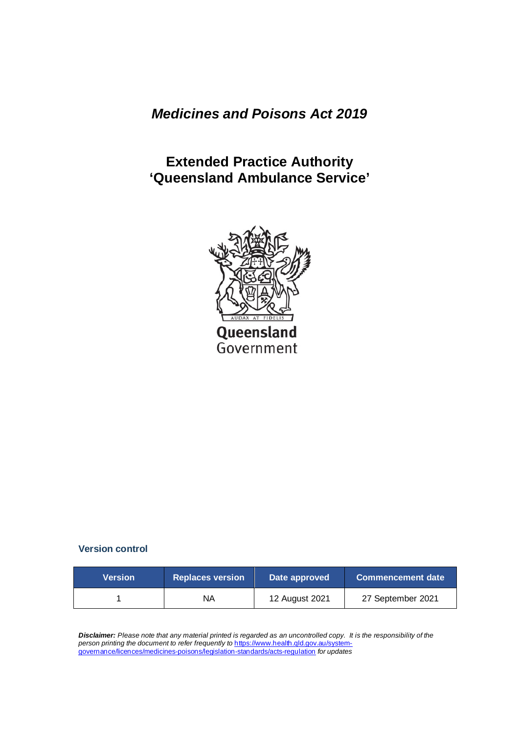*Medicines and Poisons Act 2019*

**Extended Practice Authority 'Queensland Ambulance Service'**



### **Version control**

| <b>Nersion</b> | <b>Replaces version</b> | Date approved  | <b>Commencement date</b> |
|----------------|-------------------------|----------------|--------------------------|
|                | NA                      | 12 August 2021 | 27 September 2021        |

*Disclaimer: Please note that any material printed is regarded as an uncontrolled copy. It is the responsibility of the person printing the document to refer frequently to* [https://www.health.qld.gov.au/system](https://www.health.qld.gov.au/system-governance/licences/medicines-poisons/legislation-standards/acts-regulation)[governance/licences/medicines-poisons/legislation-standards/acts-regulation](https://www.health.qld.gov.au/system-governance/licences/medicines-poisons/legislation-standards/acts-regulation) *for updates*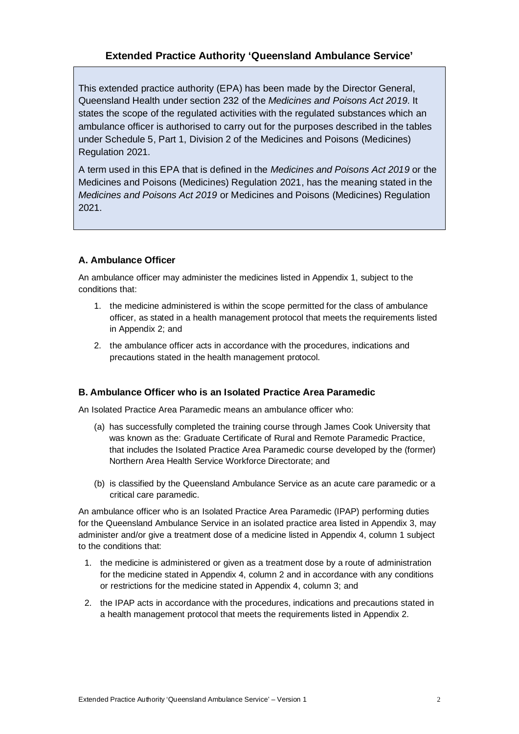### **Extended Practice Authority 'Queensland Ambulance Service'**

This extended practice authority (EPA) has been made by the Director General, Queensland Health under section 232 of the *Medicines and Poisons Act 2019*. It states the scope of the regulated activities with the regulated substances which an ambulance officer is authorised to carry out for the purposes described in the tables under Schedule 5, Part 1, Division 2 of the Medicines and Poisons (Medicines) Regulation 2021.

A term used in this EPA that is defined in the *Medicines and Poisons Act 2019* or the Medicines and Poisons (Medicines) Regulation 2021, has the meaning stated in the *Medicines and Poisons Act 2019* or Medicines and Poisons (Medicines) Regulation 2021.

#### **A. Ambulance Officer**

An ambulance officer may administer the medicines listed in Appendix 1, subject to the conditions that:

- 1. the medicine administered is within the scope permitted for the class of ambulance officer, as stated in a health management protocol that meets the requirements listed in Appendix 2; and
- 2. the ambulance officer acts in accordance with the procedures, indications and precautions stated in the health management protocol.

#### **B. Ambulance Officer who is an Isolated Practice Area Paramedic**

An Isolated Practice Area Paramedic means an ambulance officer who:

- (a) has successfully completed the training course through James Cook University that was known as the: Graduate Certificate of Rural and Remote Paramedic Practice, that includes the Isolated Practice Area Paramedic course developed by the (former) Northern Area Health Service Workforce Directorate; and
- (b) is classified by the Queensland Ambulance Service as an acute care paramedic or a critical care paramedic.

An ambulance officer who is an Isolated Practice Area Paramedic (IPAP) performing duties for the Queensland Ambulance Service in an isolated practice area listed in Appendix 3, may administer and/or give a treatment dose of a medicine listed in Appendix 4, column 1 subject to the conditions that:

- 1. the medicine is administered or given as a treatment dose by a route of administration for the medicine stated in Appendix 4, column 2 and in accordance with any conditions or restrictions for the medicine stated in Appendix 4, column 3; and
- 2. the IPAP acts in accordance with the procedures, indications and precautions stated in a health management protocol that meets the requirements listed in Appendix 2.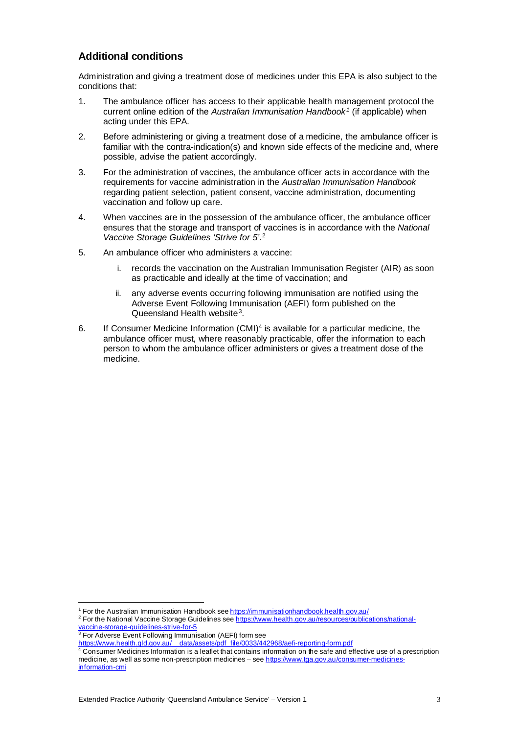#### **Additional conditions**

Administration and giving a treatment dose of medicines under this EPA is also subject to the conditions that:

- 1. The ambulance officer has access to their applicable health management protocol the current online edition of the *Australian Immunisation Handbook [1](#page-2-0)* (if applicable) when acting under this EPA.
- 2. Before administering or giving a treatment dose of a medicine, the ambulance officer is familiar with the contra-indication(s) and known side effects of the medicine and, where possible, advise the patient accordingly.
- 3. For the administration of vaccines, the ambulance officer acts in accordance with the requirements for vaccine administration in the *Australian Immunisation Handbook* regarding patient selection, patient consent, vaccine administration, documenting vaccination and follow up care.
- 4. When vaccines are in the possession of the ambulance officer, the ambulance officer ensures that the storage and transport of vaccines is in accordance with the *National Vaccine Storage Guidelines 'Strive for 5'*.[2](#page-2-1)
- 5. An ambulance officer who administers a vaccine:
	- i. records the vaccination on the Australian Immunisation Register (AIR) as soon as practicable and ideally at the time of vaccination; and
	- ii. any adverse events occurring following immunisation are notified using the Adverse Event Following Immunisation (AEFI) form published on the Queensland Health website<sup>3</sup>.
- 6. If Consumer Medicine Information  $(CMI)^4$  $(CMI)^4$  is available for a particular medicine, the ambulance officer must, where reasonably practicable, offer the information to each person to whom the ambulance officer administers or gives a treatment dose of the medicine.

<sup>&</sup>lt;sup>1</sup> For the Australian Immunisation Handbook see <https://immunisationhandbook.health.gov.au/>

<span id="page-2-1"></span><span id="page-2-0"></span><sup>2</sup> For the National Vaccine Storage Guidelines see [https://www.health.gov.au/resources/publications/national](https://www.health.gov.au/resources/publications/national-vaccine-storage-guidelines-strive-for-5)[vaccine-storage-guidelines-strive-for-5](https://www.health.gov.au/resources/publications/national-vaccine-storage-guidelines-strive-for-5)

<span id="page-2-2"></span><sup>&</sup>lt;sup>3</sup> For Adverse Event Following Immunisation (AEFI) form see

[https://www.health.qld.gov.au/\\_\\_data/assets/pdf\\_file/0033/442968/aefi-reporting-form.pdf](https://www.health.qld.gov.au/__data/assets/pdf_file/0033/442968/aefi-reporting-form.pdf)

<span id="page-2-3"></span> $\frac{4}{3}$  Consumer Medicines Information is a leaflet that contains information on the safe and effective use of a prescription medicine, as well as some non-prescription medicines – see [https://www.tga.gov.au/consumer-medicines](https://www.tga.gov.au/consumer-medicines-information-cmi)[information-cmi](https://www.tga.gov.au/consumer-medicines-information-cmi)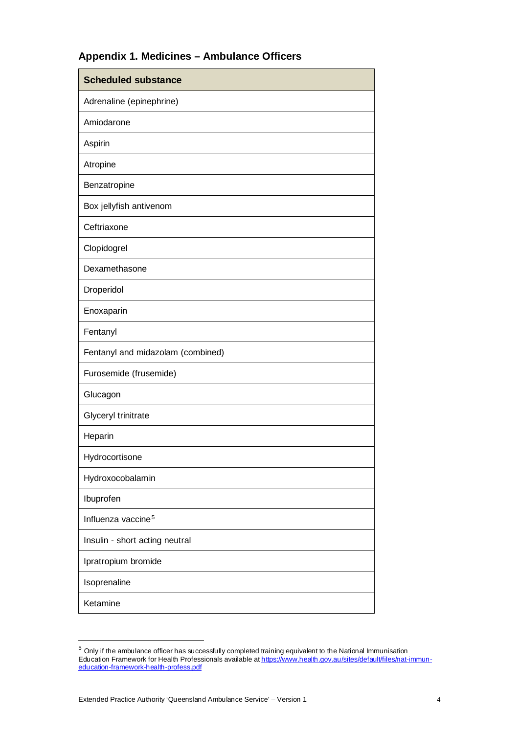# **Appendix 1. Medicines – Ambulance Officers**

| <b>Scheduled substance</b>        |  |  |
|-----------------------------------|--|--|
| Adrenaline (epinephrine)          |  |  |
| Amiodarone                        |  |  |
| Aspirin                           |  |  |
| Atropine                          |  |  |
| Benzatropine                      |  |  |
| Box jellyfish antivenom           |  |  |
| Ceftriaxone                       |  |  |
| Clopidogrel                       |  |  |
| Dexamethasone                     |  |  |
| Droperidol                        |  |  |
| Enoxaparin                        |  |  |
| Fentanyl                          |  |  |
| Fentanyl and midazolam (combined) |  |  |
| Furosemide (frusemide)            |  |  |
| Glucagon                          |  |  |
| Glyceryl trinitrate               |  |  |
| Heparin                           |  |  |
| Hydrocortisone                    |  |  |
| Hydroxocobalamin                  |  |  |
| Ibuprofen                         |  |  |
| Influenza vaccine <sup>5</sup>    |  |  |
| Insulin - short acting neutral    |  |  |
| Ipratropium bromide               |  |  |
| Isoprenaline                      |  |  |
| Ketamine                          |  |  |

<span id="page-3-0"></span> $^5$  Only if the ambulance officer has successfully completed training equivalent to the National Immunisation Education Framework for Health Professionals available a[t https://www.health.gov.au/sites/default/files/nat-immun](https://www.health.gov.au/sites/default/files/nat-immun-education-framework-health-profess.pdf)[education-framework-health-profess.pdf](https://www.health.gov.au/sites/default/files/nat-immun-education-framework-health-profess.pdf)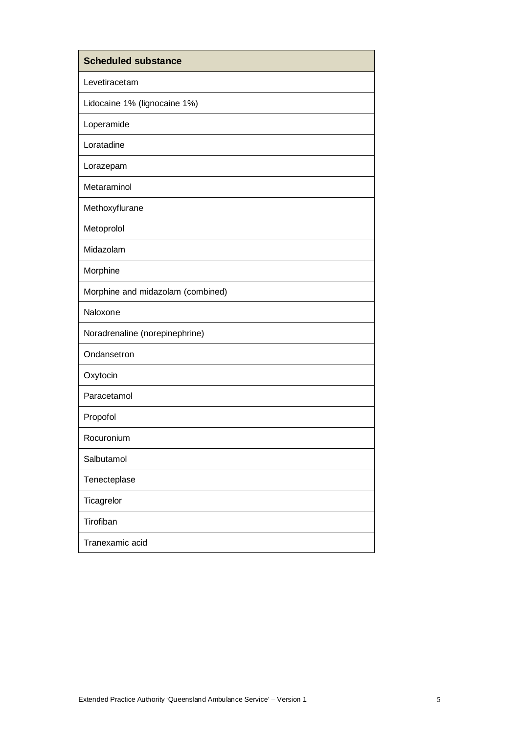| <b>Scheduled substance</b>        |
|-----------------------------------|
| Levetiracetam                     |
| Lidocaine 1% (lignocaine 1%)      |
| Loperamide                        |
| Loratadine                        |
| Lorazepam                         |
| Metaraminol                       |
| Methoxyflurane                    |
| Metoprolol                        |
| Midazolam                         |
| Morphine                          |
| Morphine and midazolam (combined) |
| Naloxone                          |
| Noradrenaline (norepinephrine)    |
| Ondansetron                       |
| Oxytocin                          |
| Paracetamol                       |
| Propofol                          |
| Rocuronium                        |
| Salbutamol                        |
| Tenecteplase                      |
| Ticagrelor                        |
| Tirofiban                         |
| Tranexamic acid                   |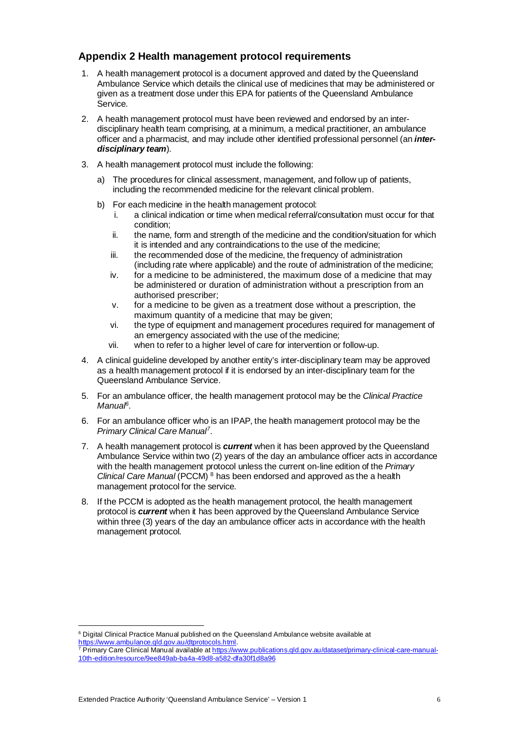### **Appendix 2 Health management protocol requirements**

- 1. A health management protocol is a document approved and dated by the Queensland Ambulance Service which details the clinical use of medicines that may be administered or given as a treatment dose under this EPA for patients of the Queensland Ambulance Service.
- 2. A health management protocol must have been reviewed and endorsed by an interdisciplinary health team comprising, at a minimum, a medical practitioner, an ambulance officer and a pharmacist, and may include other identified professional personnel (an *interdisciplinary team*).
- 3. A health management protocol must include the following:
	- a) The procedures for clinical assessment, management, and follow up of patients, including the recommended medicine for the relevant clinical problem.
	- b) For each medicine in the health management protocol:
		- i. a clinical indication or time when medical referral/consultation must occur for that condition;
		- ii. the name, form and strength of the medicine and the condition/situation for which it is intended and any contraindications to the use of the medicine;
		- iii. the recommended dose of the medicine, the frequency of administration (including rate where applicable) and the route of administration of the medicine;
		- iv. for a medicine to be administered, the maximum dose of a medicine that may be administered or duration of administration without a prescription from an authorised prescriber;
		- v. for a medicine to be given as a treatment dose without a prescription, the maximum quantity of a medicine that may be given;
		- vi. the type of equipment and management procedures required for management of an emergency associated with the use of the medicine;
		- vii. when to refer to a higher level of care for intervention or follow-up.
- 4. A clinical guideline developed by another entity's inter-disciplinary team may be approved as a health management protocol if it is endorsed by an inter-disciplinary team for the Queensland Ambulance Service.
- 5. For an ambulance officer, the health management protocol may be the *Clinical Practice Manua[l6](#page-5-0)*.
- 6. For an ambulance officer who is an IPAP, the health management protocol may be the *Primary Clinical Care Manual[7](#page-5-1)*.
- 7. A health management protocol is *current* when it has been approved by the Queensland Ambulance Service within two (2) years of the day an ambulance officer acts in accordance with the health management protocol unless the current on-line edition of the *Primary Clinical Care Manual* (PCCM) [8](#page-5-2) has been endorsed and approved as the a health management protocol for the service.
- 8. If the PCCM is adopted as the health management protocol, the health management protocol is *current* when it has been approved by the Queensland Ambulance Service within three (3) years of the day an ambulance officer acts in accordance with the health management protocol.

<span id="page-5-0"></span><sup>6</sup> Digital Clinical Practice Manual published on the Queensland Ambulance website available at [https://www.ambulance.qld.gov.au/dtprotocols.html.](https://www.ambulance.qld.gov.au/dtprotocols.html)

<span id="page-5-2"></span><span id="page-5-1"></span><sup>&</sup>lt;sup>7</sup> Primary Care Clinical Manual available at **https://www.publications.qld.gov.au/dataset/primary-clinical-care-manual-**[10th-edition/resource/9ee849ab-ba4a-49d8-a582-dfa30f1d8a96](https://www.publications.qld.gov.au/dataset/primary-clinical-care-manual-10th-edition/resource/9ee849ab-ba4a-49d8-a582-dfa30f1d8a96)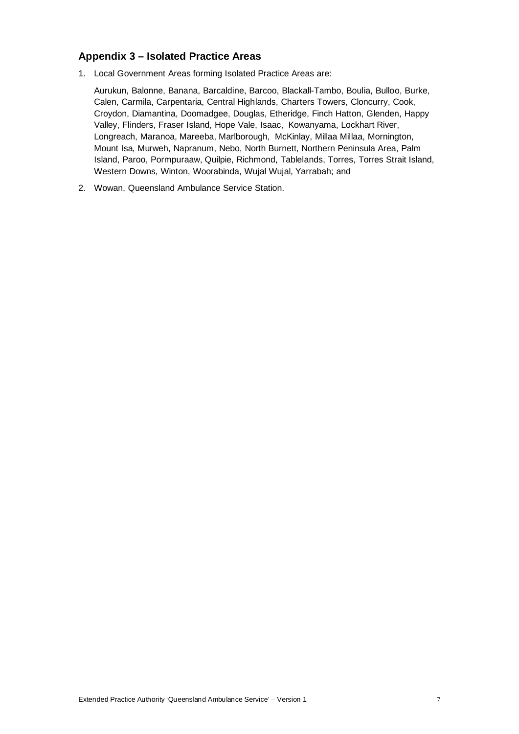### **Appendix 3 – Isolated Practice Areas**

1. Local Government Areas forming Isolated Practice Areas are:

Aurukun, Balonne, Banana, Barcaldine, Barcoo, Blackall-Tambo, Boulia, Bulloo, Burke, Calen, Carmila, Carpentaria, Central Highlands, Charters Towers, Cloncurry, Cook, Croydon, Diamantina, Doomadgee, Douglas, Etheridge, Finch Hatton, Glenden, Happy Valley, Flinders, Fraser Island, Hope Vale, Isaac, Kowanyama, Lockhart River, Longreach, Maranoa, Mareeba, Marlborough, McKinlay, Millaa Millaa, Mornington, Mount Isa, Murweh, Napranum, Nebo, North Burnett, Northern Peninsula Area, Palm Island, Paroo, Pormpuraaw, Quilpie, Richmond, Tablelands, Torres, Torres Strait Island, Western Downs, Winton, Woorabinda, Wujal Wujal, Yarrabah; and

2. Wowan, Queensland Ambulance Service Station.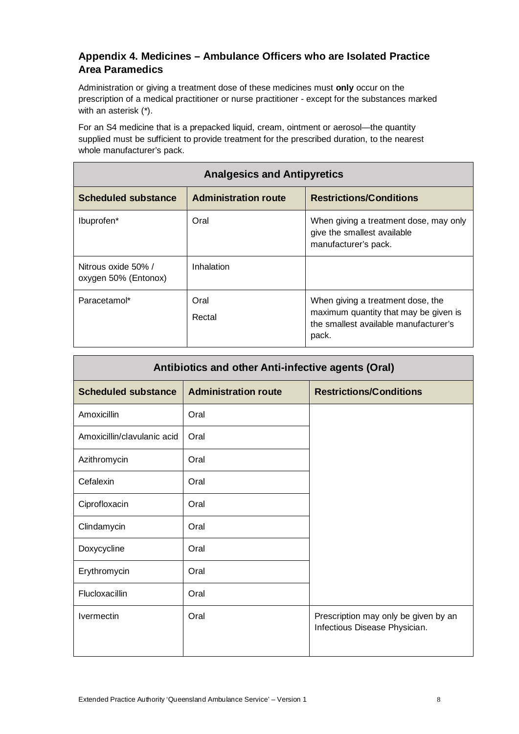# **Appendix 4. Medicines – Ambulance Officers who are Isolated Practice Area Paramedics**

Administration or giving a treatment dose of these medicines must **only** occur on the prescription of a medical practitioner or nurse practitioner - except for the substances marked with an asterisk (\*).

For an S4 medicine that is a prepacked liquid, cream, ointment or aerosol—the quantity supplied must be sufficient to provide treatment for the prescribed duration, to the nearest whole manufacturer's pack.

| <b>Analgesics and Antipyretics</b>          |                             |                                                                                                                              |
|---------------------------------------------|-----------------------------|------------------------------------------------------------------------------------------------------------------------------|
| <b>Scheduled substance</b>                  | <b>Administration route</b> | <b>Restrictions/Conditions</b>                                                                                               |
| Ibuprofen*                                  | Oral                        | When giving a treatment dose, may only<br>give the smallest available<br>manufacturer's pack.                                |
| Nitrous oxide 50% /<br>oxygen 50% (Entonox) | Inhalation                  |                                                                                                                              |
| Paracetamol*                                | Oral<br>Rectal              | When giving a treatment dose, the<br>maximum quantity that may be given is<br>the smallest available manufacturer's<br>pack. |

| Antibiotics and other Anti-infective agents (Oral) |                             |                                                                       |
|----------------------------------------------------|-----------------------------|-----------------------------------------------------------------------|
| <b>Scheduled substance</b>                         | <b>Administration route</b> | <b>Restrictions/Conditions</b>                                        |
| Amoxicillin                                        | Oral                        |                                                                       |
| Amoxicillin/clavulanic acid                        | Oral                        |                                                                       |
| Azithromycin                                       | Oral                        |                                                                       |
| Cefalexin                                          | Oral                        |                                                                       |
| Ciprofloxacin                                      | Oral                        |                                                                       |
| Clindamycin                                        | Oral                        |                                                                       |
| Doxycycline                                        | Oral                        |                                                                       |
| Erythromycin                                       | Oral                        |                                                                       |
| Flucloxacillin                                     | Oral                        |                                                                       |
| <b>Ivermectin</b>                                  | Oral                        | Prescription may only be given by an<br>Infectious Disease Physician. |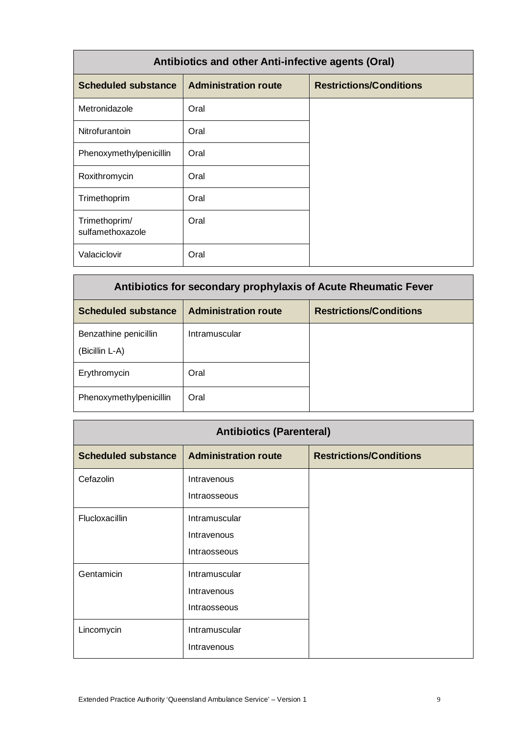| Antibiotics and other Anti-infective agents (Oral) |                             |                                |
|----------------------------------------------------|-----------------------------|--------------------------------|
| <b>Scheduled substance</b>                         | <b>Administration route</b> | <b>Restrictions/Conditions</b> |
| Metronidazole                                      | Oral                        |                                |
| <b>Nitrofurantoin</b>                              | Oral                        |                                |
| Phenoxymethylpenicillin                            | Oral                        |                                |
| Roxithromycin                                      | Oral                        |                                |
| Trimethoprim                                       | Oral                        |                                |
| Trimethoprim/<br>sulfamethoxazole                  | Oral                        |                                |
| Valaciclovir                                       | Oral                        |                                |

| Antibiotics for secondary prophylaxis of Acute Rheumatic Fever |                             |                                |
|----------------------------------------------------------------|-----------------------------|--------------------------------|
| <b>Scheduled substance</b>                                     | <b>Administration route</b> | <b>Restrictions/Conditions</b> |
| Benzathine penicillin<br>(Bicillin L-A)                        | Intramuscular               |                                |
| Erythromycin                                                   | Oral                        |                                |
| Phenoxymethylpenicillin                                        | Oral                        |                                |

| <b>Antibiotics (Parenteral)</b> |                                              |                                |
|---------------------------------|----------------------------------------------|--------------------------------|
| <b>Scheduled substance</b>      | <b>Administration route</b>                  | <b>Restrictions/Conditions</b> |
| Cefazolin                       | Intravenous<br>Intraosseous                  |                                |
| Flucloxacillin                  | Intramuscular<br>Intravenous<br>Intraosseous |                                |
| Gentamicin                      | Intramuscular<br>Intravenous<br>Intraosseous |                                |
| Lincomycin                      | Intramuscular<br>Intravenous                 |                                |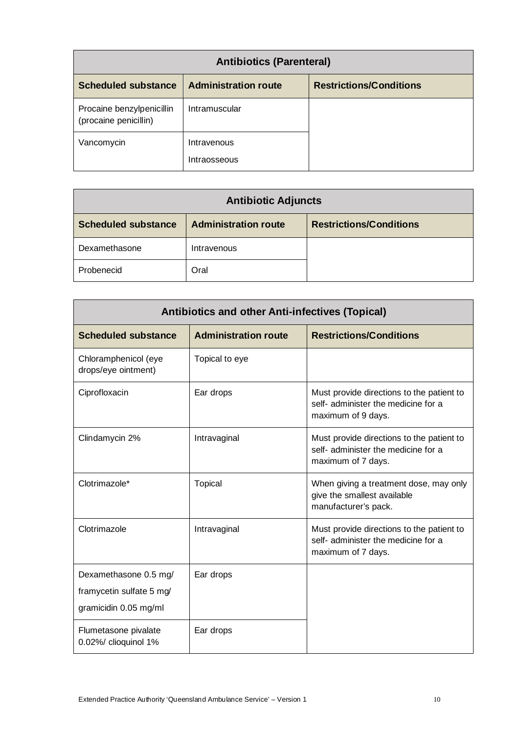| <b>Antibiotics (Parenteral)</b>                    |                                    |                                |
|----------------------------------------------------|------------------------------------|--------------------------------|
| <b>Scheduled substance</b>                         | <b>Administration route</b>        | <b>Restrictions/Conditions</b> |
| Procaine benzylpenicillin<br>(procaine penicillin) | Intramuscular                      |                                |
| Vancomycin                                         | Intravenous<br><b>Intraosseous</b> |                                |

| <b>Antibiotic Adjuncts</b> |                             |                                |
|----------------------------|-----------------------------|--------------------------------|
| <b>Scheduled substance</b> | <b>Administration route</b> | <b>Restrictions/Conditions</b> |
| Dexamethasone              | Intravenous                 |                                |
| Probenecid                 | Oral                        |                                |

| <b>Antibiotics and other Anti-infectives (Topical)</b>                     |                             |                                                                                                        |
|----------------------------------------------------------------------------|-----------------------------|--------------------------------------------------------------------------------------------------------|
| <b>Scheduled substance</b>                                                 | <b>Administration route</b> | <b>Restrictions/Conditions</b>                                                                         |
| Chloramphenicol (eye<br>drops/eye ointment)                                | Topical to eye              |                                                                                                        |
| Ciprofloxacin                                                              | Ear drops                   | Must provide directions to the patient to<br>self- administer the medicine for a<br>maximum of 9 days. |
| Clindamycin 2%                                                             | Intravaginal                | Must provide directions to the patient to<br>self- administer the medicine for a<br>maximum of 7 days. |
| Clotrimazole*                                                              | <b>Topical</b>              | When giving a treatment dose, may only<br>give the smallest available<br>manufacturer's pack.          |
| Clotrimazole                                                               | Intravaginal                | Must provide directions to the patient to<br>self- administer the medicine for a<br>maximum of 7 days. |
| Dexamethasone 0.5 mg/<br>framycetin sulfate 5 mg/<br>gramicidin 0.05 mg/ml | Ear drops                   |                                                                                                        |
| Flumetasone pivalate<br>0.02%/ clioquinol 1%                               | Ear drops                   |                                                                                                        |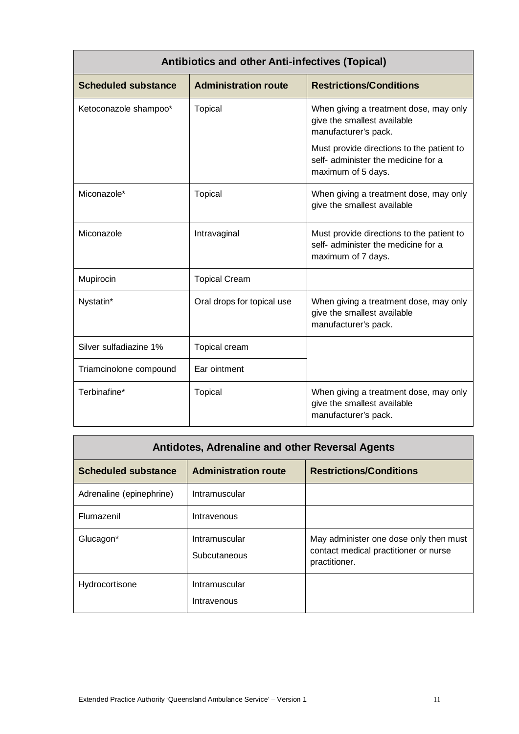| <b>Antibiotics and other Anti-infectives (Topical)</b> |                             |                                                                                                        |
|--------------------------------------------------------|-----------------------------|--------------------------------------------------------------------------------------------------------|
| <b>Scheduled substance</b>                             | <b>Administration route</b> | <b>Restrictions/Conditions</b>                                                                         |
| Ketoconazole shampoo*                                  | <b>Topical</b>              | When giving a treatment dose, may only<br>give the smallest available<br>manufacturer's pack.          |
|                                                        |                             | Must provide directions to the patient to<br>self- administer the medicine for a<br>maximum of 5 days. |
| Miconazole*                                            | <b>Topical</b>              | When giving a treatment dose, may only<br>give the smallest available                                  |
| Miconazole                                             | Intravaginal                | Must provide directions to the patient to<br>self- administer the medicine for a<br>maximum of 7 days. |
| Mupirocin                                              | <b>Topical Cream</b>        |                                                                                                        |
| Nystatin*                                              | Oral drops for topical use  | When giving a treatment dose, may only<br>give the smallest available<br>manufacturer's pack.          |
| Silver sulfadiazine 1%                                 | Topical cream               |                                                                                                        |
| Triamcinolone compound                                 | Ear ointment                |                                                                                                        |
| Terbinafine*                                           | <b>Topical</b>              | When giving a treatment dose, may only<br>give the smallest available<br>manufacturer's pack.          |

| Antidotes, Adrenaline and other Reversal Agents |                               |                                                                                                  |
|-------------------------------------------------|-------------------------------|--------------------------------------------------------------------------------------------------|
| <b>Scheduled substance</b>                      | <b>Administration route</b>   | <b>Restrictions/Conditions</b>                                                                   |
| Adrenaline (epinephrine)                        | Intramuscular                 |                                                                                                  |
| Flumazenil                                      | Intravenous                   |                                                                                                  |
| Glucagon*                                       | Intramuscular<br>Subcutaneous | May administer one dose only then must<br>contact medical practitioner or nurse<br>practitioner. |
| Hydrocortisone                                  | Intramuscular<br>Intravenous  |                                                                                                  |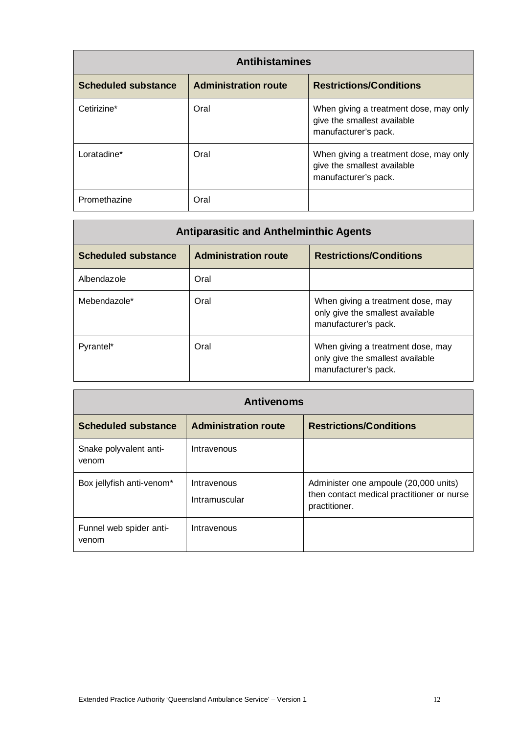| <b>Antihistamines</b>      |                             |                                                                                               |
|----------------------------|-----------------------------|-----------------------------------------------------------------------------------------------|
| <b>Scheduled substance</b> | <b>Administration route</b> | <b>Restrictions/Conditions</b>                                                                |
| Cetirizine*                | Oral                        | When giving a treatment dose, may only<br>give the smallest available<br>manufacturer's pack. |
| Loratadine*                | Oral                        | When giving a treatment dose, may only<br>give the smallest available<br>manufacturer's pack. |
| Promethazine               | Oral                        |                                                                                               |

| <b>Antiparasitic and Anthelminthic Agents</b> |                             |                                                                                               |
|-----------------------------------------------|-----------------------------|-----------------------------------------------------------------------------------------------|
| <b>Scheduled substance</b>                    | <b>Administration route</b> | <b>Restrictions/Conditions</b>                                                                |
| Albendazole                                   | Oral                        |                                                                                               |
| Mebendazole*                                  | Oral                        | When giving a treatment dose, may<br>only give the smallest available<br>manufacturer's pack. |
| Pyrantel*                                     | Oral                        | When giving a treatment dose, may<br>only give the smallest available<br>manufacturer's pack. |

| <b>Antivenoms</b>                |                              |                                                                                                      |
|----------------------------------|------------------------------|------------------------------------------------------------------------------------------------------|
| <b>Scheduled substance</b>       | <b>Administration route</b>  | <b>Restrictions/Conditions</b>                                                                       |
| Snake polyvalent anti-<br>venom  | Intravenous                  |                                                                                                      |
| Box jellyfish anti-venom*        | Intravenous<br>Intramuscular | Administer one ampoule (20,000 units)<br>then contact medical practitioner or nurse<br>practitioner. |
| Funnel web spider anti-<br>venom | Intravenous                  |                                                                                                      |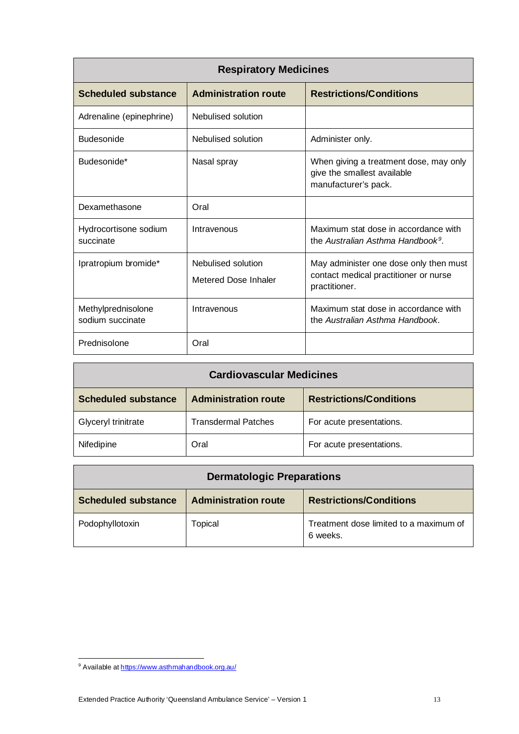| <b>Respiratory Medicines</b>           |                                            |                                                                                                  |
|----------------------------------------|--------------------------------------------|--------------------------------------------------------------------------------------------------|
| <b>Scheduled substance</b>             | <b>Administration route</b>                | <b>Restrictions/Conditions</b>                                                                   |
| Adrenaline (epinephrine)               | Nebulised solution                         |                                                                                                  |
| <b>Budesonide</b>                      | Nebulised solution                         | Administer only.                                                                                 |
| Budesonide*                            | Nasal spray                                | When giving a treatment dose, may only<br>give the smallest available<br>manufacturer's pack.    |
| Dexamethasone                          | Oral                                       |                                                                                                  |
| Hydrocortisone sodium<br>succinate     | Intravenous                                | Maximum stat dose in accordance with<br>the Australian Asthma Handbook <sup>9</sup> .            |
| Ipratropium bromide*                   | Nebulised solution<br>Metered Dose Inhaler | May administer one dose only then must<br>contact medical practitioner or nurse<br>practitioner. |
| Methylprednisolone<br>sodium succinate | Intravenous                                | Maximum stat dose in accordance with<br>the Australian Asthma Handbook.                          |
| Prednisolone                           | Oral                                       |                                                                                                  |

| <b>Cardiovascular Medicines</b> |                             |                                |
|---------------------------------|-----------------------------|--------------------------------|
| <b>Scheduled substance</b>      | <b>Administration route</b> | <b>Restrictions/Conditions</b> |
| Glyceryl trinitrate             | <b>Transdermal Patches</b>  | For acute presentations.       |
| Nifedipine                      | Oral                        | For acute presentations.       |

| <b>Dermatologic Preparations</b> |                             |                                                    |
|----------------------------------|-----------------------------|----------------------------------------------------|
| <b>Scheduled substance</b>       | <b>Administration route</b> | <b>Restrictions/Conditions</b>                     |
| Podophyllotoxin                  | Topical                     | Treatment dose limited to a maximum of<br>6 weeks. |

<span id="page-12-0"></span><sup>&</sup>lt;sup>9</sup> Available a[t https://www.asthmahandbook.org.au/](https://www.asthmahandbook.org.au/)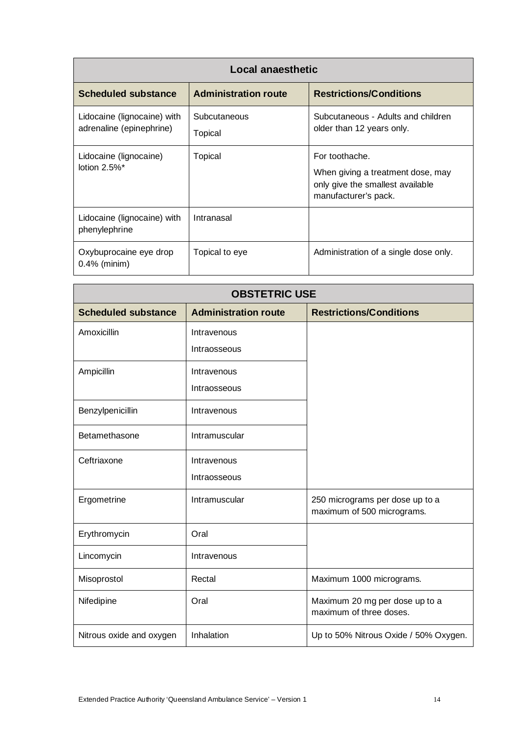| Local anaesthetic                                       |                             |                                                                                                                 |
|---------------------------------------------------------|-----------------------------|-----------------------------------------------------------------------------------------------------------------|
| <b>Scheduled substance</b>                              | <b>Administration route</b> | <b>Restrictions/Conditions</b>                                                                                  |
| Lidocaine (lignocaine) with<br>adrenaline (epinephrine) | Subcutaneous<br>Topical     | Subcutaneous - Adults and children<br>older than 12 years only.                                                 |
| Lidocaine (lignocaine)<br>lotion $2.5\%$ <sup>*</sup>   | Topical                     | For toothache.<br>When giving a treatment dose, may<br>only give the smallest available<br>manufacturer's pack. |
| Lidocaine (lignocaine) with<br>phenylephrine            | Intranasal                  |                                                                                                                 |
| Oxybuprocaine eye drop<br>$0.4\%$ (minim)               | Topical to eye              | Administration of a single dose only.                                                                           |

| <b>OBSTETRIC USE</b>       |                             |                                                               |
|----------------------------|-----------------------------|---------------------------------------------------------------|
| <b>Scheduled substance</b> | <b>Administration route</b> | <b>Restrictions/Conditions</b>                                |
| Amoxicillin                | Intravenous                 |                                                               |
|                            | Intraosseous                |                                                               |
| Ampicillin                 | Intravenous                 |                                                               |
|                            | Intraosseous                |                                                               |
| Benzylpenicillin           | Intravenous                 |                                                               |
| Betamethasone              | Intramuscular               |                                                               |
| Ceftriaxone                | Intravenous                 |                                                               |
|                            | Intraosseous                |                                                               |
| Ergometrine                | Intramuscular               | 250 micrograms per dose up to a<br>maximum of 500 micrograms. |
| Erythromycin               | Oral                        |                                                               |
| Lincomycin                 | Intravenous                 |                                                               |
| Misoprostol                | Rectal                      | Maximum 1000 micrograms.                                      |
| Nifedipine                 | Oral                        | Maximum 20 mg per dose up to a<br>maximum of three doses.     |
| Nitrous oxide and oxygen   | Inhalation                  | Up to 50% Nitrous Oxide / 50% Oxygen.                         |